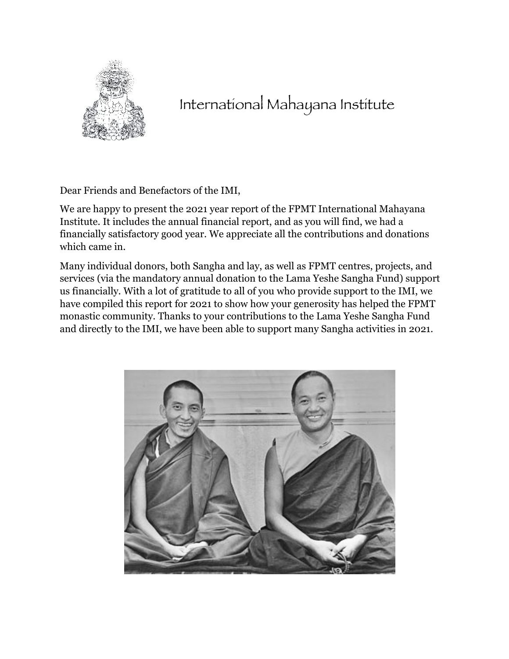

# International Mahayana Institute

Dear Friends and Benefactors of the IMI,

We are happy to present the 2021 year report of the FPMT International Mahayana Institute. It includes the annual financial report, and as you will find, we had a financially satisfactory good year. We appreciate all the contributions and donations which came in.

Many individual donors, both Sangha and lay, as well as FPMT centres, projects, and services (via the mandatory annual donation to the Lama Yeshe Sangha Fund) support us financially. With a lot of gratitude to all of you who provide support to the IMI, we have compiled this report for 2021 to show how your generosity has helped the FPMT monastic community. Thanks to your contributions to the Lama Yeshe Sangha Fund and directly to the IMI, we have been able to support many Sangha activities in 2021.

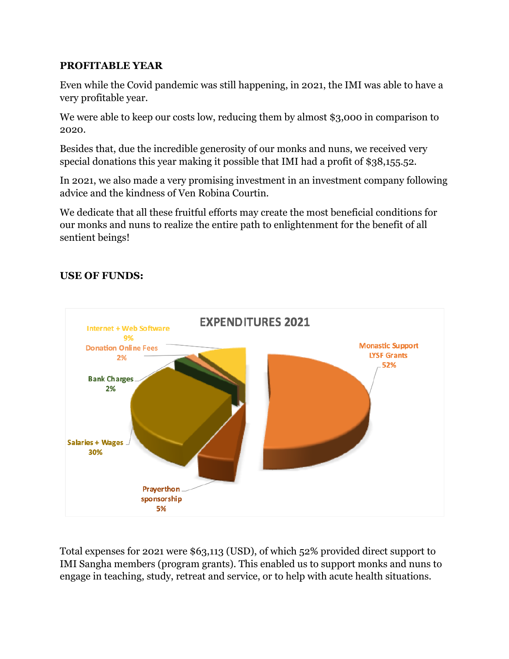#### **PROFITABLE YEAR**

Even while the Covid pandemic was still happening, in 2021, the IMI was able to have a very profitable year.

We were able to keep our costs low, reducing them by almost \$3,000 in comparison to 2020.

Besides that, due the incredible generosity of our monks and nuns, we received very special donations this year making it possible that IMI had a profit of \$38,155.52.

In 2021, we also made a very promising investment in an investment company following advice and the kindness of Ven Robina Courtin.

We dedicate that all these fruitful efforts may create the most beneficial conditions for our monks and nuns to realize the entire path to enlightenment for the benefit of all sentient beings!

# **USE OF FUNDS:**



Total expenses for 2021 were \$63,113 (USD), of which 52% provided direct support to IMI Sangha members (program grants). This enabled us to support monks and nuns to engage in teaching, study, retreat and service, or to help with acute health situations.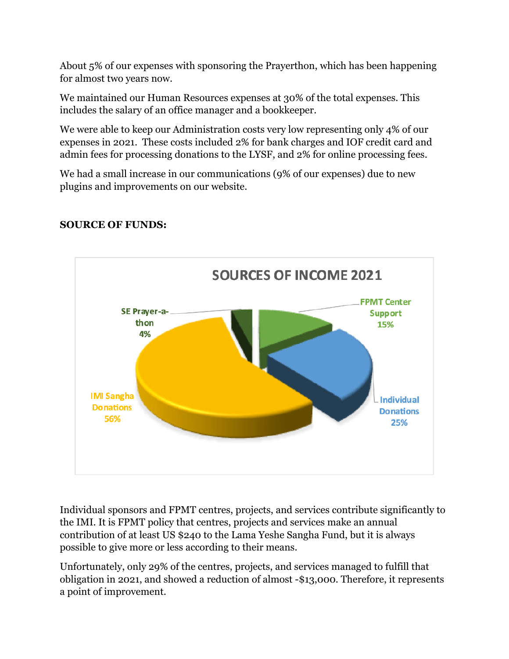About 5% of our expenses with sponsoring the Prayerthon, which has been happening for almost two years now.

We maintained our Human Resources expenses at 30% of the total expenses. This includes the salary of an office manager and a bookkeeper.

We were able to keep our Administration costs very low representing only 4% of our expenses in 2021. These costs included 2% for bank charges and IOF credit card and admin fees for processing donations to the LYSF, and 2% for online processing fees.

We had a small increase in our communications (9% of our expenses) due to new plugins and improvements on our website.



# **SOURCE OF FUNDS:**

Individual sponsors and FPMT centres, projects, and services contribute significantly to the IMI. It is FPMT policy that centres, projects and services make an annual contribution of at least US \$240 to the Lama Yeshe Sangha Fund, but it is always possible to give more or less according to their means.

Unfortunately, only 29% of the centres, projects, and services managed to fulfill that obligation in 2021, and showed a reduction of almost -\$13,000. Therefore, it represents a point of improvement.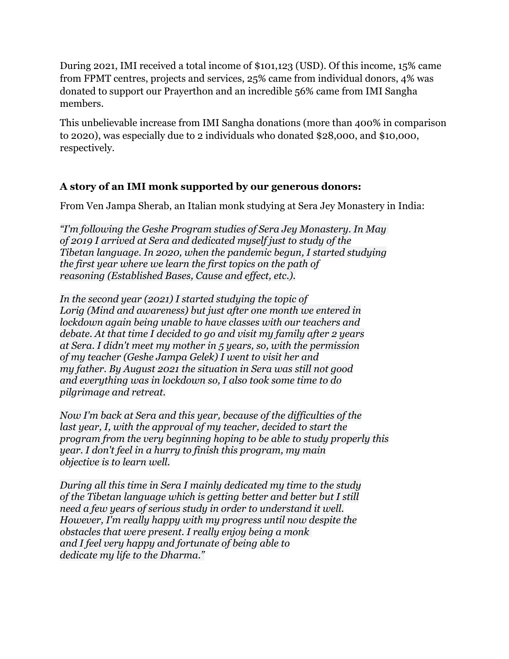During 2021, IMI received a total income of \$101,123 (USD). Of this income, 15% came from FPMT centres, projects and services, 25% came from individual donors, 4% was donated to support our Prayerthon and an incredible 56% came from IMI Sangha members.

This unbelievable increase from IMI Sangha donations (more than 400% in comparison to 2020), was especially due to 2 individuals who donated \$28,000, and \$10,000, respectively.

# **A story of an IMI monk supported by our generous donors:**

From Ven Jampa Sherab, an Italian monk studying at Sera Jey Monastery in India:

*"I'm following the Geshe Program studies of Sera Jey Monastery. In May of 2019 I arrived at Sera and dedicated myself just to study of the Tibetan language. In 2020, when the pandemic begun, I started studying the first year where we learn the first topics on the path of reasoning (Established Bases, Cause and effect, etc.).*

*In the second year (2021) I started studying the topic of Lorig (Mind and awareness) but just after one month we entered in lockdown again being unable to have classes with our teachers and debate. At that time I decided to go and visit my family after 2 years at Sera. I didn't meet my mother in 5 years, so, with the permission of my teacher (Geshe Jampa Gelek) I went to visit her and my father. By August 2021 the situation in Sera was still not good and everything was in lockdown so, I also took some time to do pilgrimage and retreat.*

*Now I'm back at Sera and this year, because of the difficulties of the last year, I, with the approval of my teacher, decided to start the program from the very beginning hoping to be able to study properly this year. I don't feel in a hurry to finish this program, my main objective is to learn well.*

*During all this time in Sera I mainly dedicated my time to the study of the Tibetan language which is getting better and better but I still need a few years of serious study in order to understand it well. However, I'm really happy with my progress until now despite the obstacles that were present. I really enjoy being a monk and I feel very happy and fortunate of being able to dedicate my life to the Dharma."*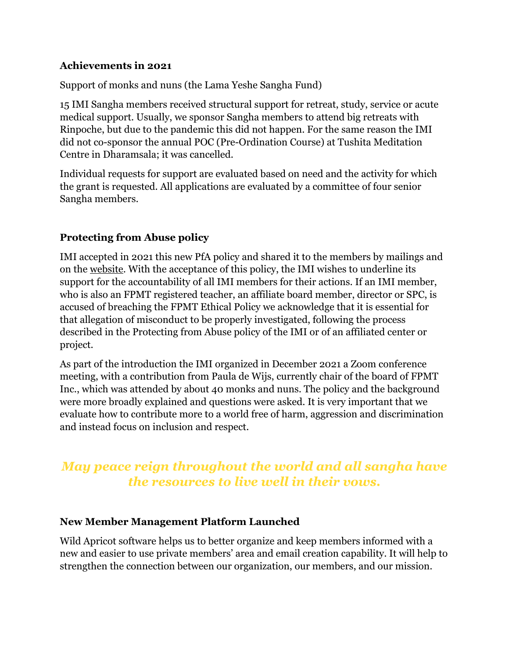#### **Achievements in 2021**

Support of monks and nuns (the Lama Yeshe Sangha Fund)

15 IMI Sangha members received structural support for retreat, study, service or acute medical support. Usually, we sponsor Sangha members to attend big retreats with Rinpoche, but due to the pandemic this did not happen. For the same reason the IMI did not co-sponsor the annual POC (Pre-Ordination Course) at Tushita Meditation Centre in Dharamsala; it was cancelled.

Individual requests for support are evaluated based on need and the activity for which the grant is requested. All applications are evaluated by a committee of four senior Sangha members.

# **Protecting from Abuse policy**

IMI accepted in 2021 this new PfA policy and shared it to the members by mailings and on the [website](https://imisangha.org/safeguarding/). With the acceptance of this policy, the IMI wishes to underline its support for the accountability of all IMI members for their actions. If an IMI member, who is also an FPMT registered teacher, an affiliate board member, director or SPC, is accused of breaching the FPMT Ethical Policy we acknowledge that it is essential for that allegation of misconduct to be properly investigated, following the process described in the Protecting from Abuse policy of the IMI or of an affiliated center or project.

As part of the introduction the IMI organized in December 2021 a Zoom conference meeting, with a contribution from Paula de Wijs, currently chair of the board of FPMT Inc., which was attended by about 40 monks and nuns. The policy and the background were more broadly explained and questions were asked. It is very important that we evaluate how to contribute more to a world free of harm, aggression and discrimination and instead focus on inclusion and respect.

# *May peace reign throughout the world and all sangha have the resources to live well in their vows.*

# **New Member Management Platform Launched**

Wild Apricot software helps us to better organize and keep members informed with a new and easier to use private members' area and email creation capability. It will help to strengthen the connection between our organization, our members, and our mission.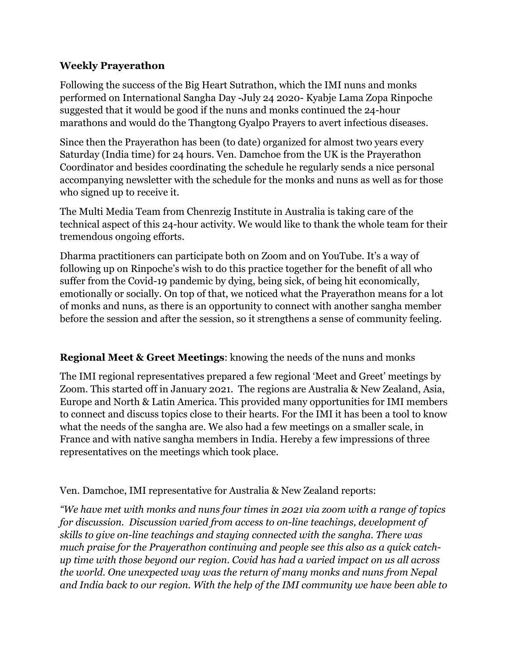#### **Weekly Prayerathon**

Following the success of the Big Heart Sutrathon, which the IMI nuns and monks performed on International Sangha Day -July 24 2020- Kyabje Lama Zopa Rinpoche suggested that it would be good if the nuns and monks continued the 24-hour marathons and would do the Thangtong Gyalpo Prayers to avert infectious diseases.

Since then the Prayerathon has been (to date) organized for almost two years every Saturday (India time) for 24 hours. Ven. Damchoe from the UK is the Prayerathon Coordinator and besides coordinating the schedule he regularly sends a nice personal accompanying newsletter with the schedule for the monks and nuns as well as for those who signed up to receive it.

The Multi Media Team from Chenrezig Institute in Australia is taking care of the technical aspect of this 24-hour activity. We would like to thank the whole team for their tremendous ongoing efforts.

Dharma practitioners can participate both on Zoom and on YouTube. It's a way of following up on Rinpoche's wish to do this practice together for the benefit of all who suffer from the Covid-19 pandemic by dying, being sick, of being hit economically, emotionally or socially. On top of that, we noticed what the Prayerathon means for a lot of monks and nuns, as there is an opportunity to connect with another sangha member before the session and after the session, so it strengthens a sense of community feeling.

#### **Regional Meet & Greet Meetings**: knowing the needs of the nuns and monks

The IMI regional representatives prepared a few regional 'Meet and Greet' meetings by Zoom. This started off in January 2021. The regions are Australia & New Zealand, Asia, Europe and North & Latin America. This provided many opportunities for IMI members to connect and discuss topics close to their hearts. For the IMI it has been a tool to know what the needs of the sangha are. We also had a few meetings on a smaller scale, in France and with native sangha members in India. Hereby a few impressions of three representatives on the meetings which took place.

Ven. Damchoe, IMI representative for Australia & New Zealand reports:

*"We have met with monks and nuns four times in 2021 via zoom with a range of topics for discussion. Discussion varied from access to on-line teachings, development of skills to give on-line teachings and staying connected with the sangha. There was much praise for the Prayerathon continuing and people see this also as a quick catchup time with those beyond our region. Covid has had a varied impact on us all across the world. One unexpected way was the return of many monks and nuns from Nepal and India back to our region. With the help of the IMI community we have been able to*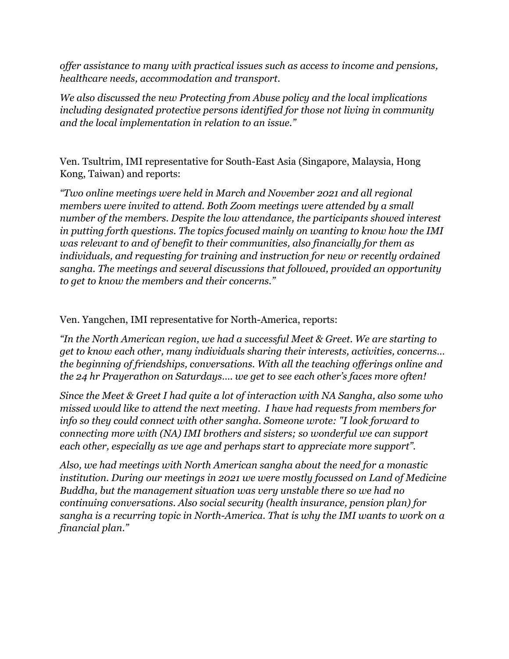*offer assistance to many with practical issues such as access to income and pensions, healthcare needs, accommodation and transport.* 

*We also discussed the new Protecting from Abuse policy and the local implications including designated protective persons identified for those not living in community and the local implementation in relation to an issue."*

Ven. Tsultrim, IMI representative for South-East Asia (Singapore, Malaysia, Hong Kong, Taiwan) and reports:

*"Two online meetings were held in March and November 2021 and all regional members were invited to attend. Both Zoom meetings were attended by a small number of the members. Despite the low attendance, the participants showed interest in putting forth questions. The topics focused mainly on wanting to know how the IMI was relevant to and of benefit to their communities, also financially for them as individuals, and requesting for training and instruction for new or recently ordained sangha. The meetings and several discussions that followed, provided an opportunity to get to know the members and their concerns."*

Ven. Yangchen, IMI representative for North-America, reports:

*"In the North American region, we had a successful Meet & Greet. We are starting to get to know each other, many individuals sharing their interests, activities, concerns… the beginning of friendships, conversations. With all the teaching offerings online and the 24 hr Prayerathon on Saturdays…. we get to see each other's faces more often!* 

*Since the Meet & Greet I had quite a lot of interaction with NA Sangha, also some who missed would like to attend the next meeting. I have had requests from members for info so they could connect with other sangha. Someone wrote: "I look forward to connecting more with (NA) IMI brothers and sisters; so wonderful we can support each other, especially as we age and perhaps start to appreciate more support".*

*Also, we had meetings with North American sangha about the need for a monastic institution. During our meetings in 2021 we were mostly focussed on Land of Medicine Buddha, but the management situation was very unstable there so we had no continuing conversations. Also social security (health insurance, pension plan) for sangha is a recurring topic in North-America. That is why the IMI wants to work on a financial plan."*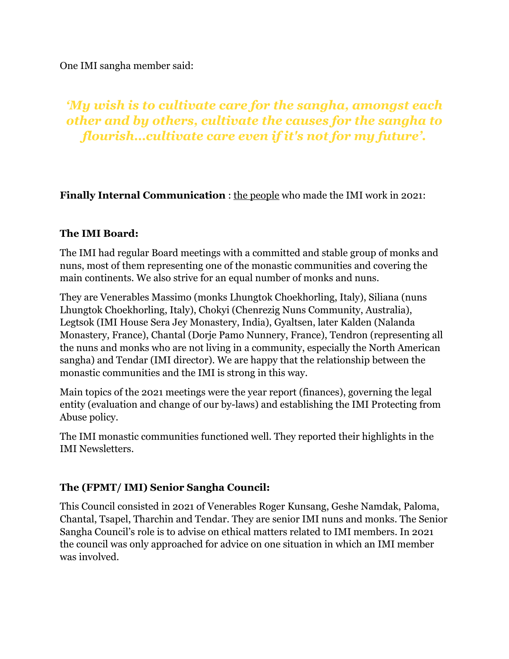One IMI sangha member said:

# *'My wish is to cultivate care for the sangha, amongst each other and by others, cultivate the causes for the sangha to flourish…cultivate care even if it's not for my future'.*

**Finally Internal Communication** : [the people](http://imisangha.org/about-imi/staff) who made the IMI work in 2021:

#### **The IMI Board:**

The IMI had regular Board meetings with a committed and stable group of monks and nuns, most of them representing one of the monastic communities and covering the main continents. We also strive for an equal number of monks and nuns.

They are Venerables Massimo (monks Lhungtok Choekhorling, Italy), Siliana (nuns Lhungtok Choekhorling, Italy), Chokyi (Chenrezig Nuns Community, Australia), Legtsok (IMI House Sera Jey Monastery, India), Gyaltsen, later Kalden (Nalanda Monastery, France), Chantal (Dorje Pamo Nunnery, France), Tendron (representing all the nuns and monks who are not living in a community, especially the North American sangha) and Tendar (IMI director). We are happy that the relationship between the monastic communities and the IMI is strong in this way.

Main topics of the 2021 meetings were the year report (finances), governing the legal entity (evaluation and change of our by-laws) and establishing the IMI Protecting from Abuse policy.

The IMI monastic communities functioned well. They reported their highlights in the IMI Newsletters.

# **The (FPMT/ IMI) Senior Sangha Council:**

This Council consisted in 2021 of Venerables Roger Kunsang, Geshe Namdak, Paloma, Chantal, Tsapel, Tharchin and Tendar. They are senior IMI nuns and monks. The Senior Sangha Council's role is to advise on ethical matters related to IMI members. In 2021 the council was only approached for advice on one situation in which an IMI member was involved.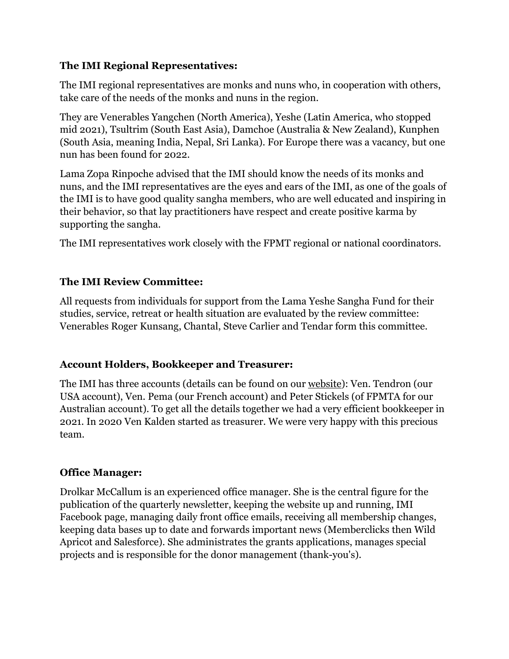#### **The IMI Regional Representatives:**

The IMI regional representatives are monks and nuns who, in cooperation with others, take care of the needs of the monks and nuns in the region.

They are Venerables Yangchen (North America), Yeshe (Latin America, who stopped mid 2021), Tsultrim (South East Asia), Damchoe (Australia & New Zealand), Kunphen (South Asia, meaning India, Nepal, Sri Lanka). For Europe there was a vacancy, but one nun has been found for 2022.

Lama Zopa Rinpoche advised that the IMI should know the needs of its monks and nuns, and the IMI representatives are the eyes and ears of the IMI, as one of the goals of the IMI is to have good quality sangha members, who are well educated and inspiring in their behavior, so that lay practitioners have respect and create positive karma by supporting the sangha.

The IMI representatives work closely with the FPMT regional or national coordinators.

# **The IMI Review Committee:**

All requests from individuals for support from the Lama Yeshe Sangha Fund for their studies, service, retreat or health situation are evaluated by the review committee: Venerables Roger Kunsang, Chantal, Steve Carlier and Tendar form this committee.

# **Account Holders, Bookkeeper and Treasurer:**

The IMI has three accounts (details can be found on our [website\)](https://imisangha.org/support/donate/): Ven. Tendron (our USA account), Ven. Pema (our French account) and Peter Stickels (of FPMTA for our Australian account). To get all the details together we had a very efficient bookkeeper in 2021. In 2020 Ven Kalden started as treasurer. We were very happy with this precious team.

#### **Office Manager:**

Drolkar McCallum is an experienced office manager. She is the central figure for the publication of the quarterly newsletter, keeping the website up and running, IMI Facebook page, managing daily front office emails, receiving all membership changes, keeping data bases up to date and forwards important news (Memberclicks then Wild Apricot and Salesforce). She administrates the grants applications, manages special projects and is responsible for the donor management (thank-you's).